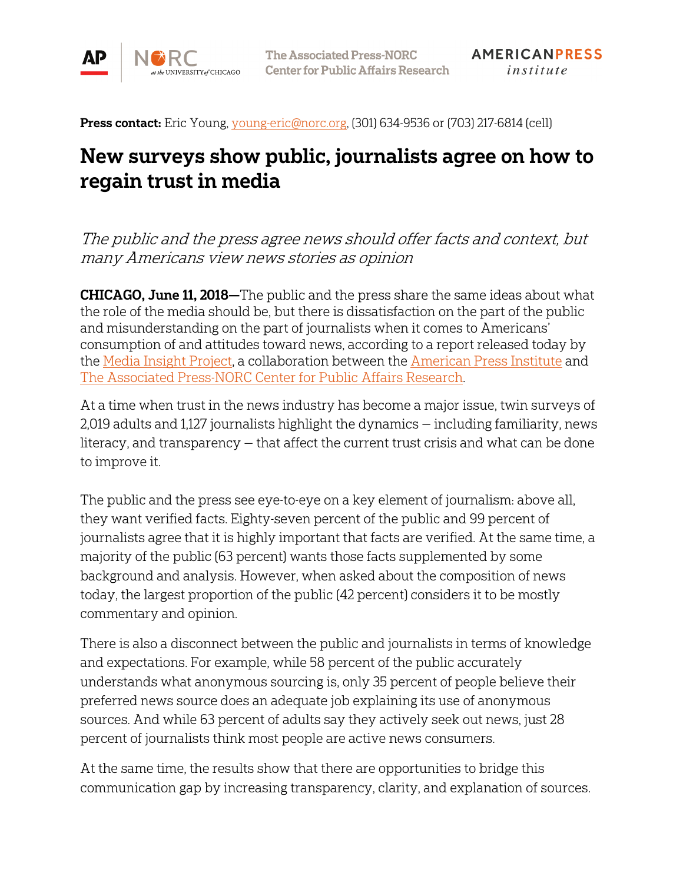

Press contact: Eric Young[, young-eric@norc.org,](mailto:young-eric@norc.org) (301) 634-9536 or (703) 217-6814 (cell)

# New surveys show public, journalists agree on how to regain trust in media

The public and the press agree news should offer facts and context, but many Americans view news stories as opinion

**CHICAGO, June 11, 2018**—The public and the press share the same ideas about what the role of the media should be, but there is dissatisfaction on the part of the public and misunderstanding on the part of journalists when it comes to Americans' consumption of and attitudes toward news, according to a report released today by the [Media Insight Project,](http://www.mediainsight.org/Pages/default.aspx) a collaboration between the [American Press Institute](https://www.americanpressinstitute.org/) and [The Associated Press-NORC Center for Public Affairs Research.](http://www.apnorc.org/)

At a time when trust in the news industry has become a major issue, twin surveys of 2,019 adults and 1,127 journalists highlight the dynamics — including familiarity, news literacy, and transparency — that affect the current trust crisis and what can be done to improve it.

The public and the press see eye-to-eye on a key element of journalism: above all, they want verified facts. Eighty-seven percent of the public and 99 percent of journalists agree that it is highly important that facts are verified. At the same time, a majority of the public (63 percent) wants those facts supplemented by some background and analysis. However, when asked about the composition of news today, the largest proportion of the public (42 percent) considers it to be mostly commentary and opinion.

There is also a disconnect between the public and journalists in terms of knowledge and expectations. For example, while 58 percent of the public accurately understands what anonymous sourcing is, only 35 percent of people believe their preferred news source does an adequate job explaining its use of anonymous sources. And while 63 percent of adults say they actively seek out news, just 28 percent of journalists think most people are active news consumers.

At the same time, the results show that there are opportunities to bridge this communication gap by increasing transparency, clarity, and explanation of sources.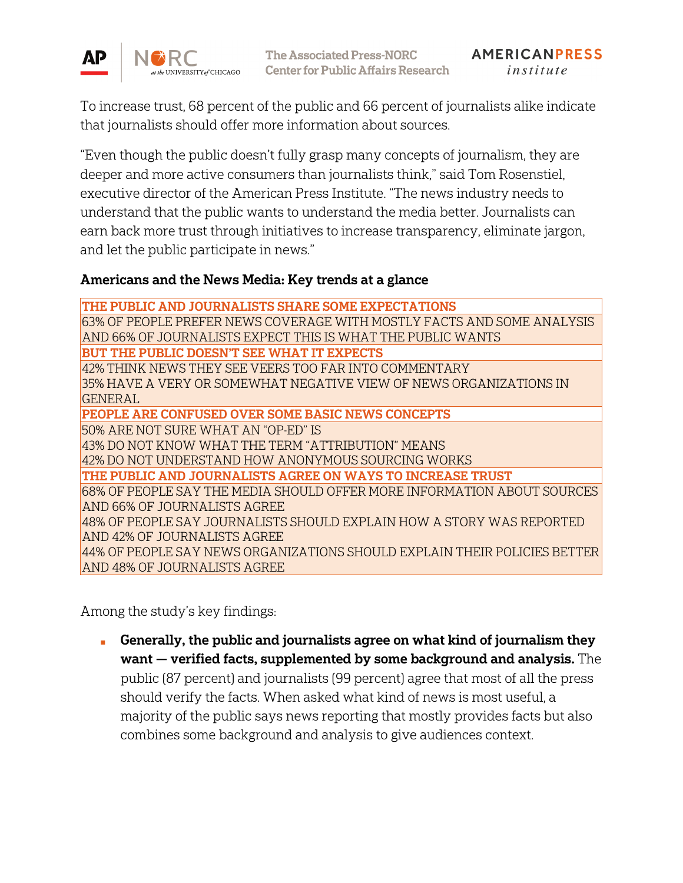

To increase trust, 68 percent of the public and 66 percent of journalists alike indicate that journalists should offer more information about sources.

"Even though the public doesn't fully grasp many concepts of journalism, they are deeper and more active consumers than journalists think," said Tom Rosenstiel, executive director of the American Press Institute. "The news industry needs to understand that the public wants to understand the media better. Journalists can earn back more trust through initiatives to increase transparency, eliminate jargon, and let the public participate in news."

#### Americans and the News Media: Key trends at a glance

THE PUBLIC AND JOURNALISTS SHARE SOME EXPECTATIONS 63% OF PEOPLE PREFER NEWS COVERAGE WITH MOSTLY FACTS AND SOME ANALYSIS AND 66% OF JOURNALISTS EXPECT THIS IS WHAT THE PUBLIC WANTS BUT THE PUBLIC DOESN'T SEE WHAT IT EXPECTS 42% THINK NEWS THEY SEE VEERS TOO FAR INTO COMMENTARY 35% HAVE A VERY OR SOMEWHAT NEGATIVE VIEW OF NEWS ORGANIZATIONS IN GENERAL PEOPLE ARE CONFUSED OVER SOME BASIC NEWS CONCEPTS 50% ARE NOT SURE WHAT AN "OP-ED" IS 43% DO NOT KNOW WHAT THE TERM "ATTRIBUTION" MEANS 42% DO NOT UNDERSTAND HOW ANONYMOUS SOURCING WORKS THE PUBLIC AND JOURNALISTS AGREE ON WAYS TO INCREASE TRUST 68% OF PEOPLE SAY THE MEDIA SHOULD OFFER MORE INFORMATION ABOUT SOURCES AND 66% OF JOURNALISTS AGREE 48% OF PEOPLE SAY JOURNALISTS SHOULD EXPLAIN HOW A STORY WAS REPORTED AND 42% OF JOURNALISTS AGREE 44% OF PEOPLE SAY NEWS ORGANIZATIONS SHOULD EXPLAIN THEIR POLICIES BETTER AND 48% OF JOURNALISTS AGREE

Among the study's key findings:

■ Generally, the public and journalists agree on what kind of journalism they want — verified facts, supplemented by some background and analysis. The public (87 percent) and journalists (99 percent) agree that most of all the press should verify the facts. When asked what kind of news is most useful, a majority of the public says news reporting that mostly provides facts but also combines some background and analysis to give audiences context.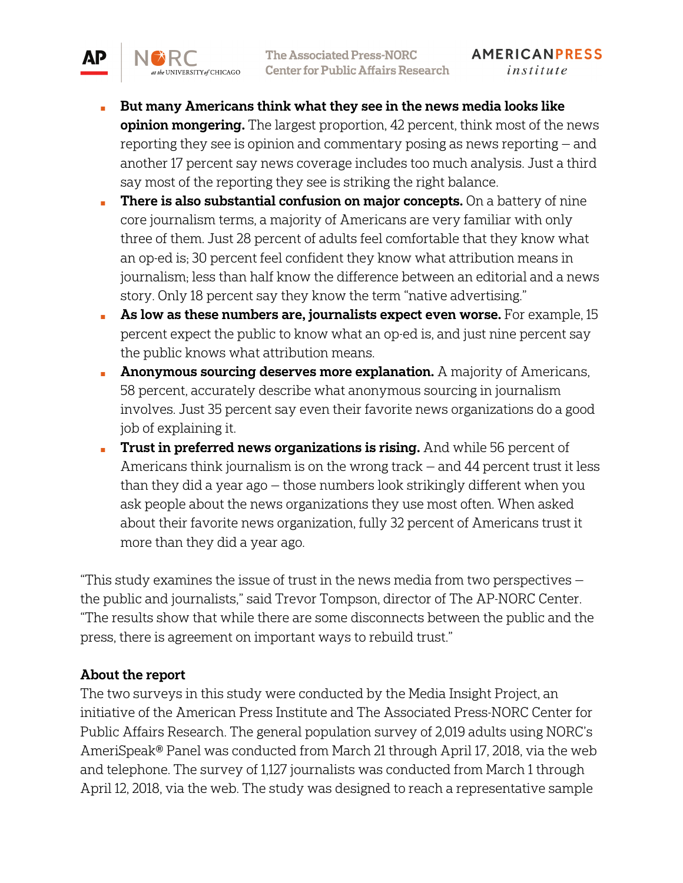- But many Americans think what they see in the news media looks like opinion mongering. The largest proportion, 42 percent, think most of the news reporting they see is opinion and commentary posing as news reporting — and another 17 percent say news coverage includes too much analysis. Just a third say most of the reporting they see is striking the right balance.
- **There is also substantial confusion on major concepts.** On a battery of nine core journalism terms, a majority of Americans are very familiar with only three of them. Just 28 percent of adults feel comfortable that they know what an op-ed is; 30 percent feel confident they know what attribution means in journalism; less than half know the difference between an editorial and a news story. Only 18 percent say they know the term "native advertising."
- $\blacksquare$  As low as these numbers are, journalists expect even worse. For example, 15 percent expect the public to know what an op-ed is, and just nine percent say the public knows what attribution means.
- **Anonymous sourcing deserves more explanation.** A majority of Americans, 58 percent, accurately describe what anonymous sourcing in journalism involves. Just 35 percent say even their favorite news organizations do a good job of explaining it.
- **Trust in preferred news organizations is rising.** And while 56 percent of Americans think journalism is on the wrong track — and 44 percent trust it less than they did a year ago — those numbers look strikingly different when you ask people about the news organizations they use most often. When asked about their favorite news organization, fully 32 percent of Americans trust it more than they did a year ago.

"This study examines the issue of trust in the news media from two perspectives  $$ the public and journalists," said Trevor Tompson, director of The AP-NORC Center. "The results show that while there are some disconnects between the public and the press, there is agreement on important ways to rebuild trust."

#### About the report

АP

UNIVERSITY of CHICAGO

The two surveys in this study were conducted by the Media Insight Project, an initiative of the American Press Institute and The Associated Press-NORC Center for Public Affairs Research. The general population survey of 2,019 adults using NORC's AmeriSpeak® Panel was conducted from March 21 through April 17, 2018, via the web and telephone. The survey of 1,127 journalists was conducted from March 1 through April 12, 2018, via the web. The study was designed to reach a representative sample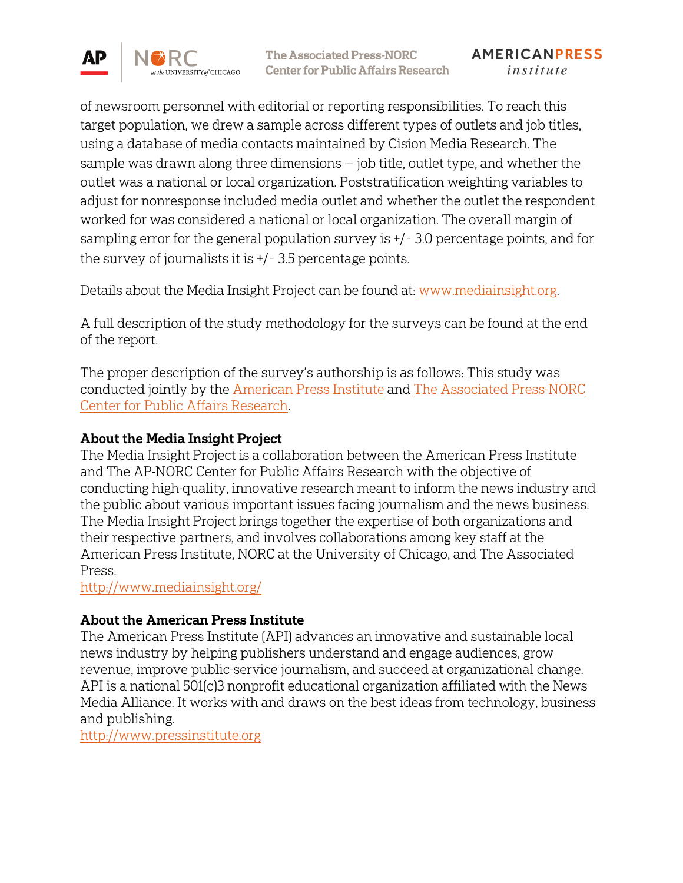

of newsroom personnel with editorial or reporting responsibilities. To reach this target population, we drew a sample across different types of outlets and job titles, using a database of media contacts maintained by Cision Media Research. The sample was drawn along three dimensions — job title, outlet type, and whether the outlet was a national or local organization. Poststratification weighting variables to adjust for nonresponse included media outlet and whether the outlet the respondent worked for was considered a national or local organization. The overall margin of sampling error for the general population survey is +/‑ 3.0 percentage points, and for the survey of journalists it is +/‑ 3.5 percentage points.

Details about the Media Insight Project can be found at: [www.mediainsight.org.](http://www.mediainsight.org/) 

A full description of the study methodology for the surveys can be found at the end of the report.

The proper description of the survey's authorship is as follows: This study was conducted jointly by the [American Press Institute](http://www.americanpressinstitute.org/) and The [Associated Press-NORC](http://apnorc.org/Pages/default.aspx)  [Center for Public Affairs Research](http://apnorc.org/Pages/default.aspx).

### About the Media Insight Project

The Media Insight Project is a collaboration between the American Press Institute and The AP-NORC Center for Public Affairs Research with the objective of conducting high-quality, innovative research meant to inform the news industry and the public about various important issues facing journalism and the news business. The Media Insight Project brings together the expertise of both organizations and their respective partners, and involves collaborations among key staff at the American Press Institute, NORC at the University of Chicago, and The Associated Press.

<http://www.mediainsight.org/>

## About the American Press Institute

The American Press Institute (API) advances an innovative and sustainable local news industry by helping publishers understand and engage audiences, grow revenue, improve public-service journalism, and succeed at organizational change. API is a national 501(c)3 nonprofit educational organization affiliated with the News Media Alliance. It works with and draws on the best ideas from technology, business and publishing.

[http://www.pressinstitute.org](http://www.pressinstitute.org/)